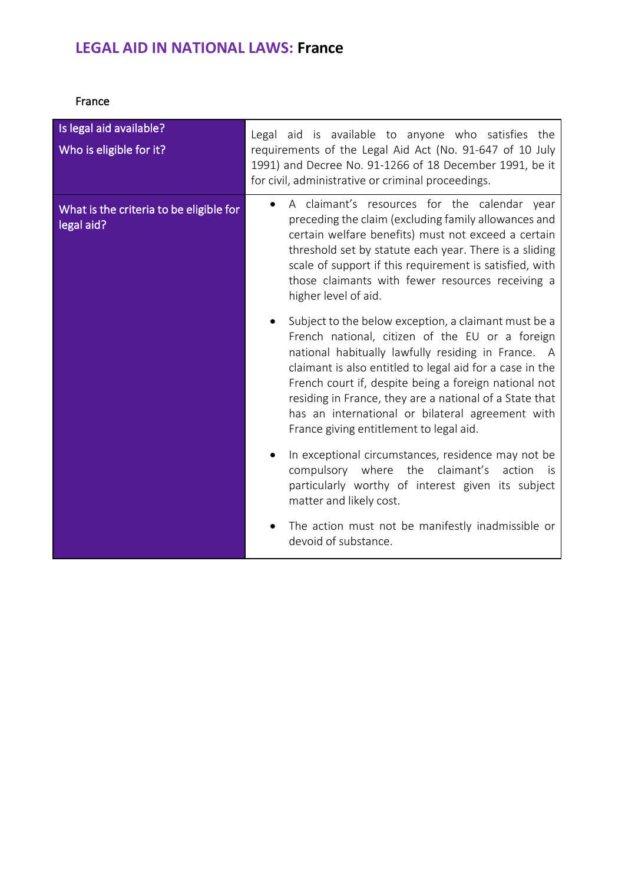## **LEGAL AID IN NATIONAL LAWS: France**

France

| Is legal aid available?<br>Who is eligible for it?    | Legal aid is available to anyone who satisfies the<br>requirements of the Legal Aid Act (No. 91-647 of 10 July<br>1991) and Decree No. 91-1266 of 18 December 1991, be it<br>for civil, administrative or criminal proceedings.                                                                                                                                                                                                              |
|-------------------------------------------------------|----------------------------------------------------------------------------------------------------------------------------------------------------------------------------------------------------------------------------------------------------------------------------------------------------------------------------------------------------------------------------------------------------------------------------------------------|
| What is the criteria to be eligible for<br>legal aid? | A claimant's resources for the calendar year<br>preceding the claim (excluding family allowances and<br>certain welfare benefits) must not exceed a certain<br>threshold set by statute each year. There is a sliding<br>scale of support if this requirement is satisfied, with<br>those claimants with fewer resources receiving a<br>higher level of aid.                                                                                 |
|                                                       | Subject to the below exception, a claimant must be a<br>French national, citizen of the EU or a foreign<br>national habitually lawfully residing in France. A<br>claimant is also entitled to legal aid for a case in the<br>French court if, despite being a foreign national not<br>residing in France, they are a national of a State that<br>has an international or bilateral agreement with<br>France giving entitlement to legal aid. |
|                                                       | In exceptional circumstances, residence may not be<br>claimant's<br>compulsory where the<br>action<br>is.<br>particularly worthy of interest given its subject<br>matter and likely cost.                                                                                                                                                                                                                                                    |
|                                                       | The action must not be manifestly inadmissible or<br>devoid of substance.                                                                                                                                                                                                                                                                                                                                                                    |